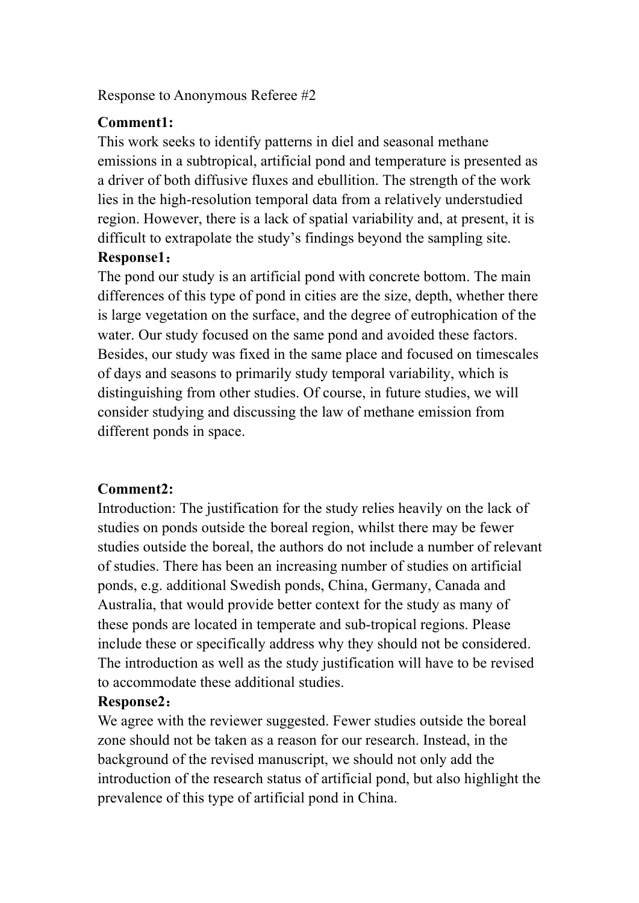Response to Anonymous Referee #2

## **Comment1:**

This work seeks to identify patterns in diel and seasonal methane emissions in a subtropical, artificial pond and temperature is presented as a driver of both diffusive fluxes and ebullition. The strength of the work lies in the high-resolution temporal data from a relatively understudied region. However, there is a lack of spatial variability and, at present, it is difficult to extrapolate the study's findings beyond the sampling site.

## **Response1**:

The pond our study is an artificial pond with concrete bottom. The main differences of this type of pond in cities are the size, depth, whether there is large vegetation on the surface, and the degree of eutrophication of the water. Our study focused on the same pond and avoided these factors. Besides, our study was fixed in the same place and focused on timescales of days and seasons to primarily study temporal variability, which is distinguishing from other studies. Of course, in future studies, we will consider studying and discussing the law of methane emission from different ponds in space.

# **Comment2:**

Introduction: The justification for the study relies heavily on the lack of studies on ponds outside the boreal region, whilst there may be fewer studies outside the boreal, the authors do not include a number of relevant of studies. There has been an increasing number of studies on artificial ponds, e.g. additional Swedish ponds, China, Germany, Canada and Australia, that would provide better context for the study as many of these ponds are located in temperate and sub-tropical regions. Please include these or specifically address why they should not be considered. The introduction as well as the study justification will have to be revised to accommodate these additional studies.

# **Response2**:

We agree with the reviewer suggested. Fewer studies outside the boreal zone should not be taken as a reason for our research. Instead, in the background of the revised manuscript, we should not only add the introduction of the research status of artificial pond, but also highlight the prevalence of this type of artificial pond in China.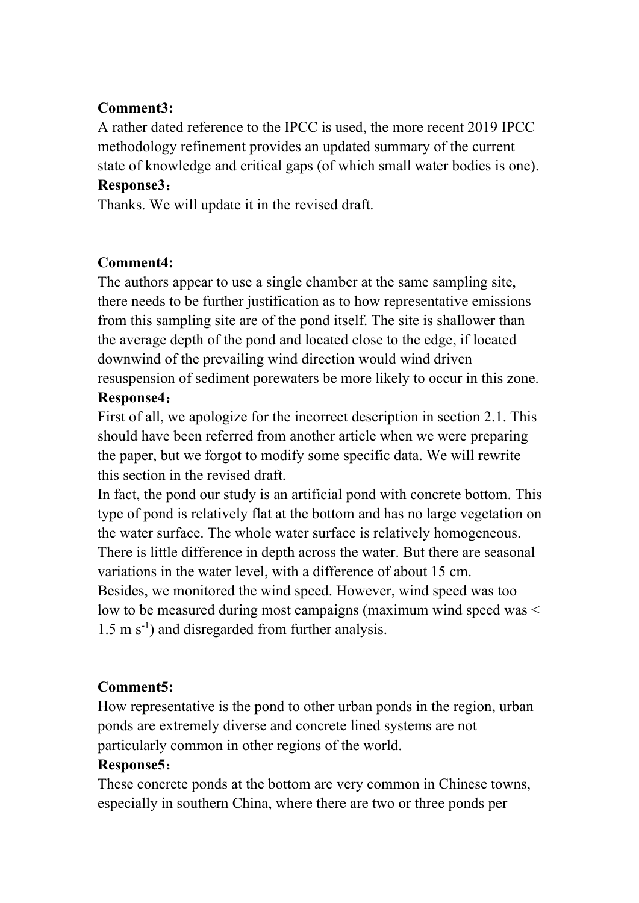# **Comment3:**

A rather dated reference to the IPCC is used, the more recent 2019 IPCC methodology refinement provides an updated summary of the current state of knowledge and critical gaps (of which small water bodies is one). **Response3**:

Thanks. We will update it in the revised draft.

# **Comment4:**

The authors appear to use a single chamber at the same sampling site, there needs to be further justification as to how representative emissions from this sampling site are of the pond itself. The site is shallower than the average depth of the pond and located close to the edge, if located downwind of the prevailing wind direction would wind driven resuspension of sediment porewaters be more likely to occur in this zone. **Response4**:

First of all, we apologize for the incorrect description in section 2.1. This should have been referred from another article when we were preparing the paper, but we forgot to modify some specific data. We will rewrite this section in the revised draft.

In fact, the pond our study is an artificial pond with concrete bottom. This type of pond is relatively flat at the bottom and has no large vegetation on the water surface. The whole water surface is relatively homogeneous. There is little difference in depth across the water. But there are seasonal variations in the water level, with a difference of about 15 cm. Besides, we monitored the wind speed. However, wind speed was too low to be measured during most campaigns (maximum wind speed was < 1.5 m s<sup>-1</sup>) and disregarded from further analysis.

# **Comment5:**

How representative is the pond to other urban ponds in the region, urban ponds are extremely diverse and concrete lined systems are not particularly common in other regions of the world.

#### **Response5**:

These concrete ponds at the bottom are very common in Chinese towns, especially in southern China, where there are two or three ponds per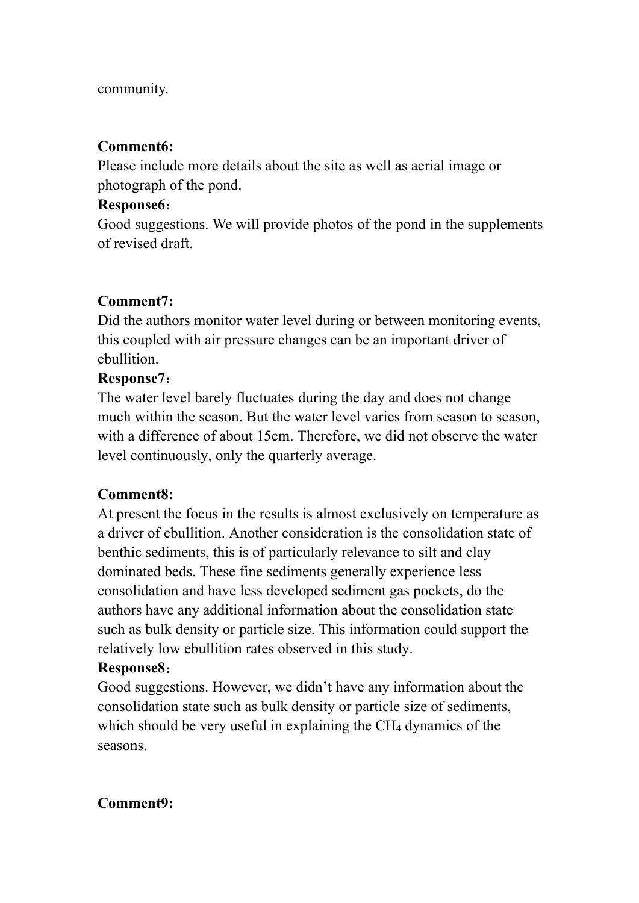#### community.

#### **Comment6:**

Please include more details about the site as well as aerial image or photograph of the pond.

#### **Response6**:

Good suggestions. We will provide photos of the pond in the supplements of revised draft.

# **Comment7:**

Did the authors monitor water level during or between monitoring events, this coupled with air pressure changes can be an important driver of ebullition.

# **Response7**:

The water level barely fluctuates during the day and does not change much within the season. But the water level varies from season to season, with a difference of about 15cm. Therefore, we did not observe the water level continuously, only the quarterly average.

# **Comment8:**

At present the focus in the results is almost exclusively on temperature as a driver of ebullition. Another consideration is the consolidation state of benthic sediments, this is of particularly relevance to silt and clay dominated beds. These fine sediments generally experience less consolidation and have less developed sediment gas pockets, do the authors have any additional information about the consolidation state such as bulk density or particle size. This information could support the relatively low ebullition rates observed in this study.

# **Response8**:

Good suggestions. However, we didn't have any information about the consolidation state such as bulk density or particle size of sediments, which should be very useful in explaining the CH<sub>4</sub> dynamics of the seasons.

# **Comment9:**